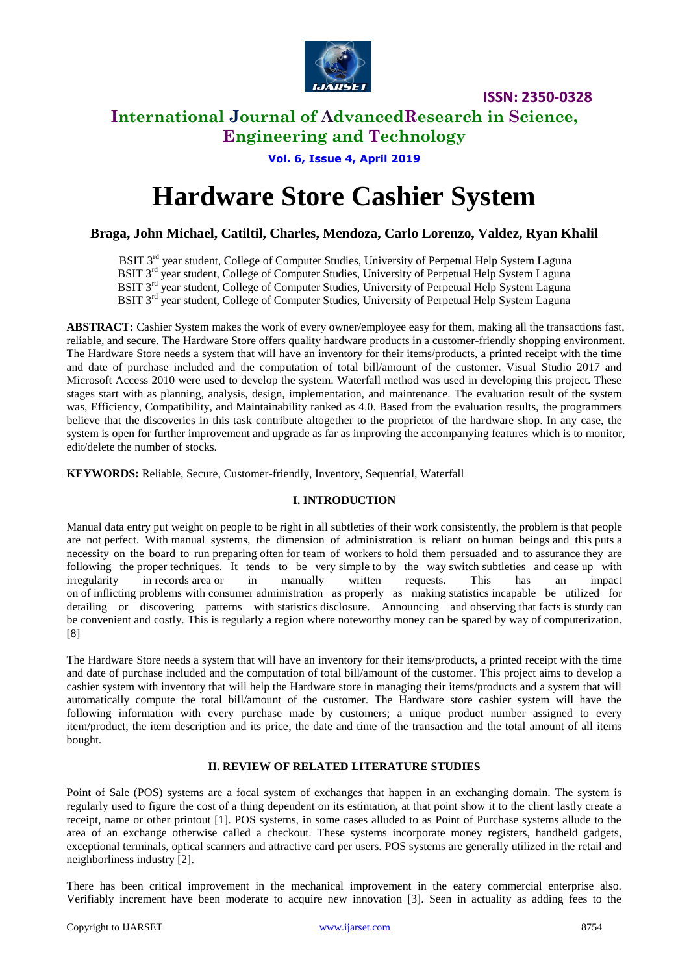

### **International Journal of AdvancedResearch in Science, Engineering and Technology**

**Vol. 6, Issue 4, April 2019**

# **Hardware Store Cashier System**

**Braga, John Michael, Catiltil, Charles, Mendoza, Carlo Lorenzo, Valdez, Ryan Khalil** 

BSIT 3<sup>rd</sup> year student, College of Computer Studies, University of Perpetual Help System Laguna BSIT 3<sup>rd</sup> year student, College of Computer Studies, University of Perpetual Help System Laguna BSIT 3<sup>rd</sup> year student, College of Computer Studies, University of Perpetual Help System Laguna

BSIT 3<sup>rd</sup> year student, College of Computer Studies, University of Perpetual Help System Laguna

**ABSTRACT:** Cashier System makes the work of every owner/employee easy for them, making all the transactions fast, reliable, and secure. The Hardware Store offers quality hardware products in a customer-friendly shopping environment. The Hardware Store needs a system that will have an inventory for their items/products, a printed receipt with the time and date of purchase included and the computation of total bill/amount of the customer. Visual Studio 2017 and Microsoft Access 2010 were used to develop the system. Waterfall method was used in developing this project. These stages start with as planning, analysis, design, implementation, and maintenance. The evaluation result of the system was, Efficiency, Compatibility, and Maintainability ranked as 4.0. Based from the evaluation results, the programmers believe that the discoveries in this task contribute altogether to the proprietor of the hardware shop. In any case, the system is open for further improvement and upgrade as far as improving the accompanying features which is to monitor, edit/delete the number of stocks.

**KEYWORDS:** Reliable, Secure, Customer-friendly, Inventory, Sequential, Waterfall

#### **I. INTRODUCTION**

Manual data entry put weight on people to be right in all subtleties of their work consistently, the problem is that people are not perfect. With manual systems, the dimension of administration is reliant on human beings and this puts a necessity on the board to run preparing often for team of workers to hold them persuaded and to assurance they are following the proper techniques. It tends to be very simple to by the way switch subtleties and cease up with irregularity in records area or in manually written requests. This has an impact on of inflicting problems with consumer administration as properly as making statistics incapable be utilized for detailing or discovering patterns with statistics disclosure. Announcing and observing that facts is sturdy can be convenient and costly. This is regularly a region where noteworthy money can be spared by way of computerization. [8]

The Hardware Store needs a system that will have an inventory for their items/products, a printed receipt with the time and date of purchase included and the computation of total bill/amount of the customer. This project aims to develop a cashier system with inventory that will help the Hardware store in managing their items/products and a system that will automatically compute the total bill/amount of the customer. The Hardware store cashier system will have the following information with every purchase made by customers; a unique product number assigned to every item/product, the item description and its price, the date and time of the transaction and the total amount of all items bought.

#### **II. REVIEW OF RELATED LITERATURE STUDIES**

Point of Sale (POS) systems are a focal system of exchanges that happen in an exchanging domain. The system is regularly used to figure the cost of a thing dependent on its estimation, at that point show it to the client lastly create a receipt, name or other printout [1]. POS systems, in some cases alluded to as Point of Purchase systems allude to the area of an exchange otherwise called a checkout. These systems incorporate money registers, handheld gadgets, exceptional terminals, optical scanners and attractive card per users. POS systems are generally utilized in the retail and neighborliness industry [2].

There has been critical improvement in the mechanical improvement in the eatery commercial enterprise also. Verifiably increment have been moderate to acquire new innovation [3]. Seen in actuality as adding fees to the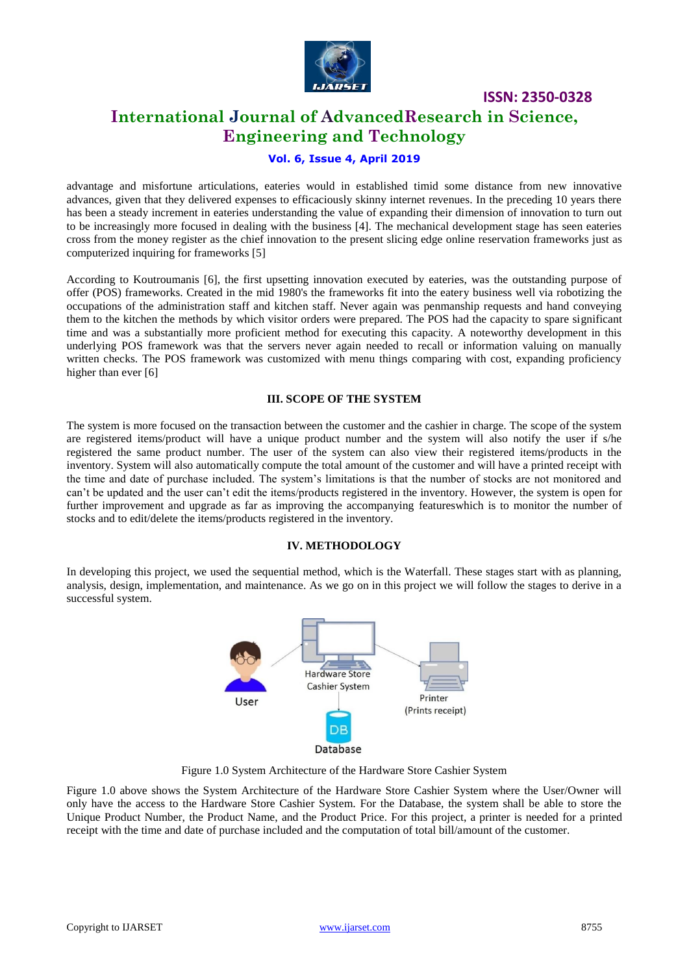

### **International Journal of AdvancedResearch in Science, Engineering and Technology**

#### **Vol. 6, Issue 4, April 2019**

advantage and misfortune articulations, eateries would in established timid some distance from new innovative advances, given that they delivered expenses to efficaciously skinny internet revenues. In the preceding 10 years there has been a steady increment in eateries understanding the value of expanding their dimension of innovation to turn out to be increasingly more focused in dealing with the business [4]. The mechanical development stage has seen eateries cross from the money register as the chief innovation to the present slicing edge online reservation frameworks just as computerized inquiring for frameworks [5]

According to Koutroumanis [6], the first upsetting innovation executed by eateries, was the outstanding purpose of offer (POS) frameworks. Created in the mid 1980's the frameworks fit into the eatery business well via robotizing the occupations of the administration staff and kitchen staff. Never again was penmanship requests and hand conveying them to the kitchen the methods by which visitor orders were prepared. The POS had the capacity to spare significant time and was a substantially more proficient method for executing this capacity. A noteworthy development in this underlying POS framework was that the servers never again needed to recall or information valuing on manually written checks. The POS framework was customized with menu things comparing with cost, expanding proficiency higher than ever [6]

#### **III. SCOPE OF THE SYSTEM**

The system is more focused on the transaction between the customer and the cashier in charge. The scope of the system are registered items/product will have a unique product number and the system will also notify the user if s/he registered the same product number. The user of the system can also view their registered items/products in the inventory. System will also automatically compute the total amount of the customer and will have a printed receipt with the time and date of purchase included. The system's limitations is that the number of stocks are not monitored and can't be updated and the user can't edit the items/products registered in the inventory. However, the system is open for further improvement and upgrade as far as improving the accompanying featureswhich is to monitor the number of stocks and to edit/delete the items/products registered in the inventory.

#### **IV. METHODOLOGY**

In developing this project, we used the sequential method, which is the Waterfall. These stages start with as planning, analysis, design, implementation, and maintenance. As we go on in this project we will follow the stages to derive in a successful system.



Figure 1.0 System Architecture of the Hardware Store Cashier System

Figure 1.0 above shows the System Architecture of the Hardware Store Cashier System where the User/Owner will only have the access to the Hardware Store Cashier System. For the Database, the system shall be able to store the Unique Product Number, the Product Name, and the Product Price. For this project, a printer is needed for a printed receipt with the time and date of purchase included and the computation of total bill/amount of the customer.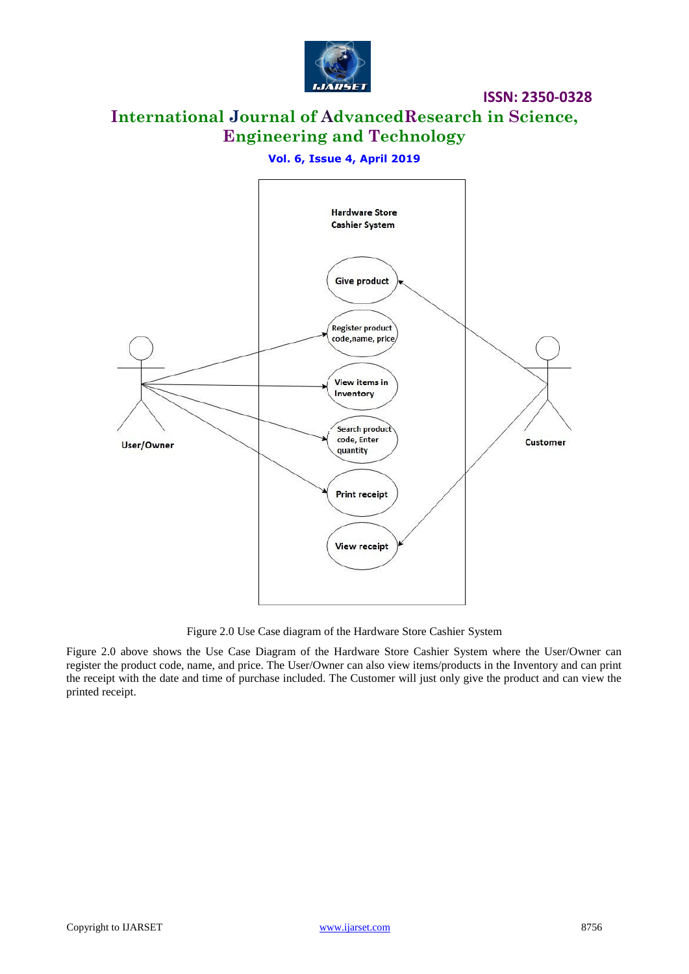

# **International Journal of AdvancedResearch in Science, Engineering and Technology**

#### **Vol. 6, Issue 4, April 2019**



Figure 2.0 Use Case diagram of the Hardware Store Cashier System

Figure 2.0 above shows the Use Case Diagram of the Hardware Store Cashier System where the User/Owner can register the product code, name, and price. The User/Owner can also view items/products in the Inventory and can print the receipt with the date and time of purchase included. The Customer will just only give the product and can view the printed receipt.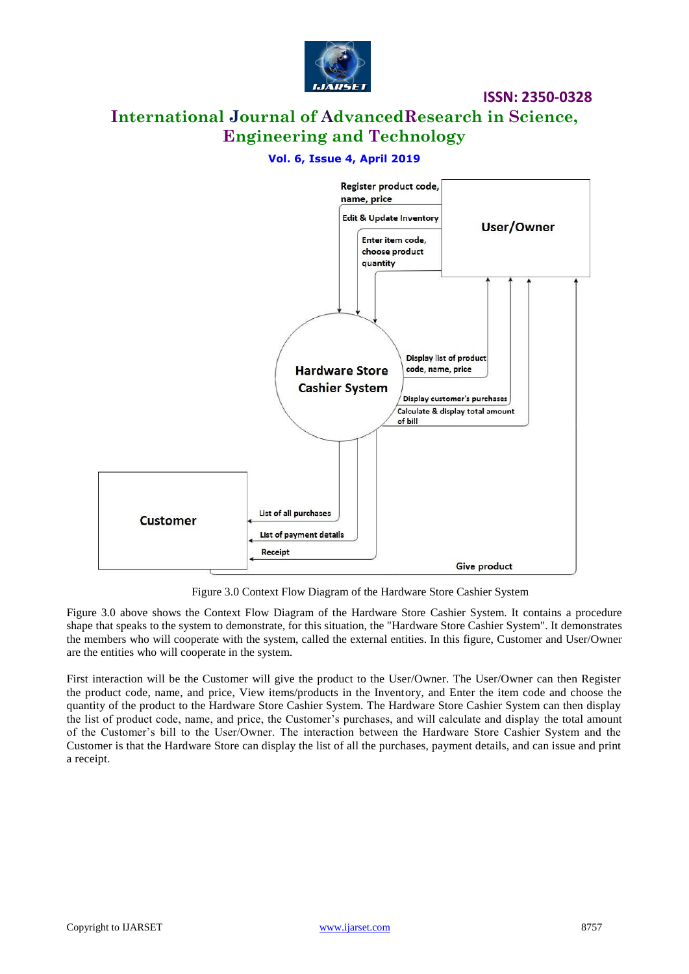

# **International Journal of AdvancedResearch in Science, Engineering and Technology**

#### **Vol. 6, Issue 4, April 2019**



Figure 3.0 Context Flow Diagram of the Hardware Store Cashier System

Figure 3.0 above shows the Context Flow Diagram of the Hardware Store Cashier System. It contains a procedure shape that speaks to the system to demonstrate, for this situation, the "Hardware Store Cashier System". It demonstrates the members who will cooperate with the system, called the external entities. In this figure, Customer and User/Owner are the entities who will cooperate in the system.

First interaction will be the Customer will give the product to the User/Owner. The User/Owner can then Register the product code, name, and price, View items/products in the Inventory, and Enter the item code and choose the quantity of the product to the Hardware Store Cashier System. The Hardware Store Cashier System can then display the list of product code, name, and price, the Customer's purchases, and will calculate and display the total amount of the Customer's bill to the User/Owner. The interaction between the Hardware Store Cashier System and the Customer is that the Hardware Store can display the list of all the purchases, payment details, and can issue and print a receipt.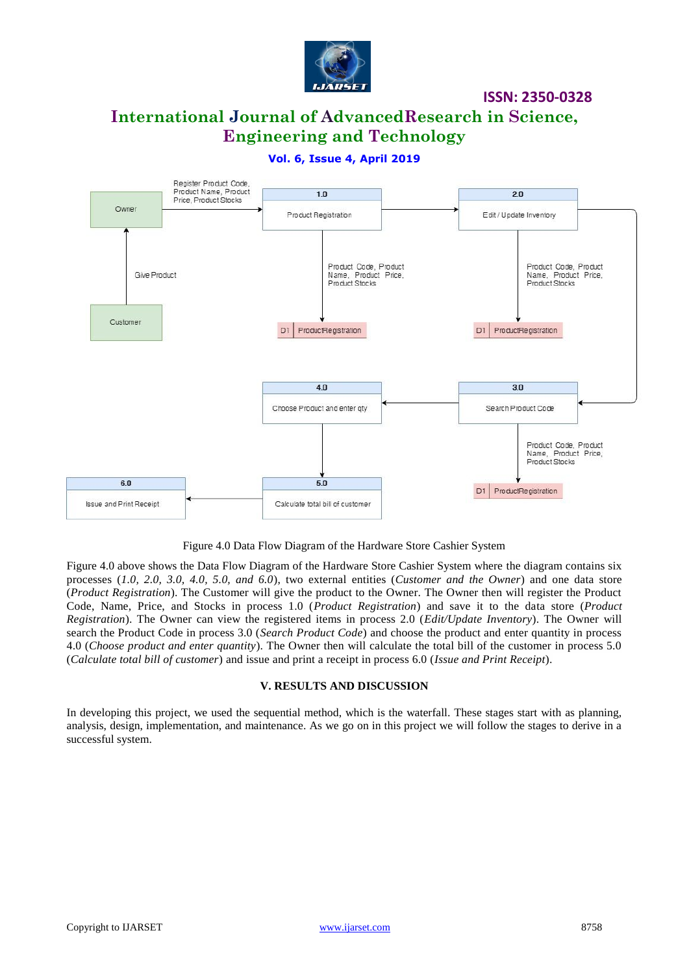

## **International Journal of AdvancedResearch in Science, Engineering and Technology**

**Vol. 6, Issue 4, April 2019**



Figure 4.0 Data Flow Diagram of the Hardware Store Cashier System

Figure 4.0 above shows the Data Flow Diagram of the Hardware Store Cashier System where the diagram contains six processes (*1.0, 2.0, 3.0, 4.0, 5.0, and 6.0*), two external entities (*Customer and the Owner*) and one data store (*Product Registration*). The Customer will give the product to the Owner. The Owner then will register the Product Code, Name, Price, and Stocks in process 1.0 (*Product Registration*) and save it to the data store (*Product Registration*). The Owner can view the registered items in process 2.0 (*Edit/Update Inventory*). The Owner will search the Product Code in process 3.0 (*Search Product Code*) and choose the product and enter quantity in process 4.0 (*Choose product and enter quantity*). The Owner then will calculate the total bill of the customer in process 5.0 (*Calculate total bill of customer*) and issue and print a receipt in process 6.0 (*Issue and Print Receipt*).

#### **V. RESULTS AND DISCUSSION**

In developing this project, we used the sequential method, which is the waterfall. These stages start with as planning, analysis, design, implementation, and maintenance. As we go on in this project we will follow the stages to derive in a successful system.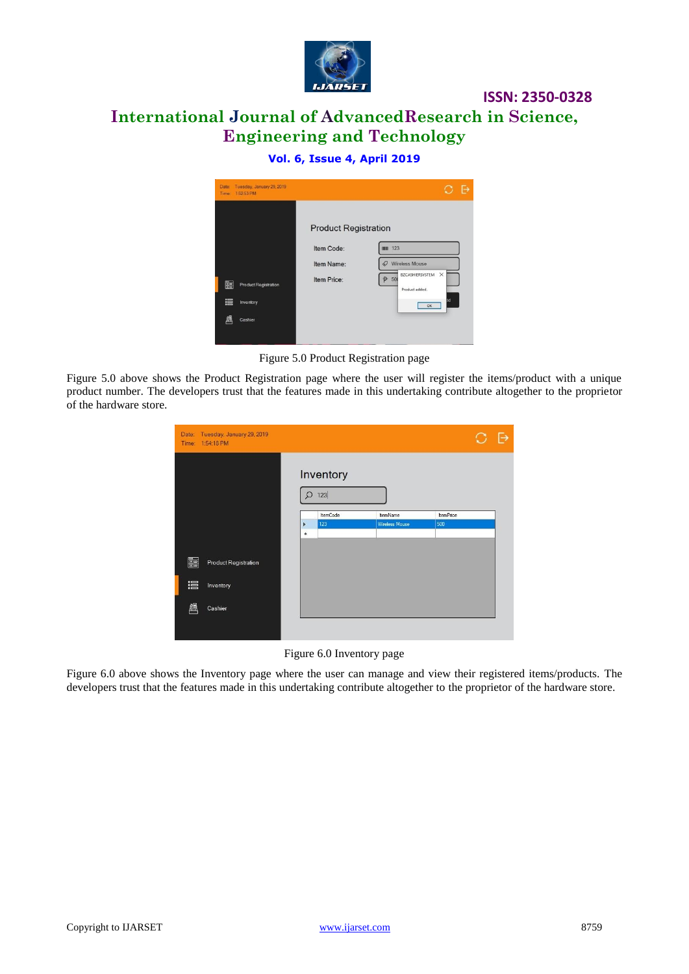

# **International Journal of AdvancedResearch in Science, Engineering and Technology**

#### **Vol. 6, Issue 4, April 2019**



Figure 5.0 Product Registration page

Figure 5.0 above shows the Product Registration page where the user will register the items/product with a unique product number. The developers trust that the features made in this undertaking contribute altogether to the proprietor of the hardware store.

| Date:<br>Time: | Tuesday, January 29, 2019<br>1:54:18 PM |           |                 |                       |                  |  |
|----------------|-----------------------------------------|-----------|-----------------|-----------------------|------------------|--|
|                |                                         |           | Inventory       |                       |                  |  |
|                |                                         |           | $Q$ 123         |                       |                  |  |
|                |                                         |           | <b>ItemCode</b> | <b>ItemName</b>       | <b>ItemPrice</b> |  |
|                |                                         | ×         | 123             | <b>Wireless Mouse</b> | 500              |  |
|                |                                         | $\bullet$ |                 |                       |                  |  |
|                |                                         |           |                 |                       |                  |  |
| ē.             | <b>Product Registration</b>             |           |                 |                       |                  |  |
| 這              | Inventory                               |           |                 |                       |                  |  |
| 凰              | Cashier                                 |           |                 |                       |                  |  |
|                |                                         |           |                 |                       |                  |  |

Figure 6.0 Inventory page

Figure 6.0 above shows the Inventory page where the user can manage and view their registered items/products. The developers trust that the features made in this undertaking contribute altogether to the proprietor of the hardware store.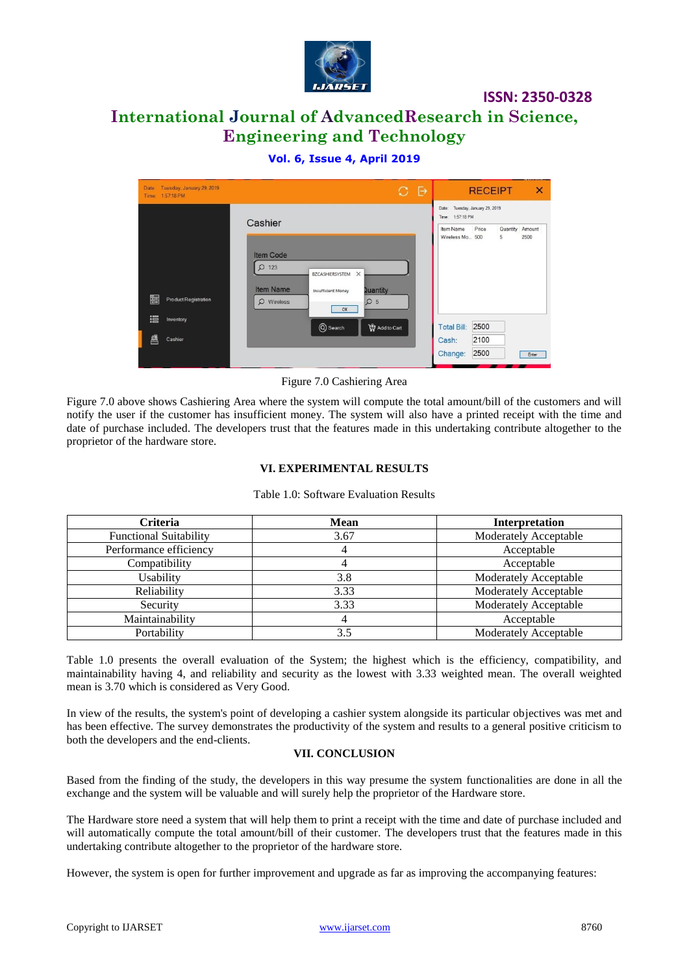

# **International Journal of AdvancedResearch in Science, Engineering and Technology**

#### **Vol. 6, Issue 4, April 2019**

| Tuesday, January 29, 2019<br>Date:<br>1:57:18 PM<br>Time: |                                                                                                                                                                              | O. | $\ddot{\ominus}$ | $\overline{\mathsf{x}}$<br><b>RECEIPT</b>                                |  |
|-----------------------------------------------------------|------------------------------------------------------------------------------------------------------------------------------------------------------------------------------|----|------------------|--------------------------------------------------------------------------|--|
|                                                           | Cashier                                                                                                                                                                      |    |                  | Tuesday, January 29, 2019<br>Date:<br>Time: 1:57:18 PM                   |  |
| ë.<br><b>Product Registration</b>                         | <b>Item Code</b><br>$\Omega$<br>123<br>$\times$<br>BZCASHIERSYSTEM<br><b>Item Name</b><br><b>Quantity</b><br><b>Insufficient Money</b><br>$\mathcal{Q}$ Wireless<br>Q5<br>OK |    |                  | Quantity Amount<br>Price<br>Item Name<br>Wireless Mo<br>500<br>5<br>2500 |  |
| 這<br>Inventory<br>飍<br>Cashier                            | Q Search<br>Add to Cart                                                                                                                                                      |    |                  | 2500<br><b>Total Bill:</b><br>2100<br>Cash:                              |  |
|                                                           |                                                                                                                                                                              |    |                  | 2500<br>Change:<br>Enter                                                 |  |

Figure 7.0 Cashiering Area

Figure 7.0 above shows Cashiering Area where the system will compute the total amount/bill of the customers and will notify the user if the customer has insufficient money. The system will also have a printed receipt with the time and date of purchase included. The developers trust that the features made in this undertaking contribute altogether to the proprietor of the hardware store.

#### **VI. EXPERIMENTAL RESULTS**

| <b>Criteria</b>               | <b>Mean</b> | <b>Interpretation</b>        |
|-------------------------------|-------------|------------------------------|
| <b>Functional Suitability</b> | 3.67        | <b>Moderately Acceptable</b> |
| Performance efficiency        |             | Acceptable                   |
| Compatibility                 |             | Acceptable                   |
| Usability                     | 3.8         | <b>Moderately Acceptable</b> |
| Reliability                   | 3.33        | <b>Moderately Acceptable</b> |
| Security                      | 3.33        | Moderately Acceptable        |
| Maintainability               |             | Acceptable                   |
| Portability                   | 3.5         | Moderately Acceptable        |

Table 1.0: Software Evaluation Results

Table 1.0 presents the overall evaluation of the System; the highest which is the efficiency, compatibility, and maintainability having 4, and reliability and security as the lowest with 3.33 weighted mean. The overall weighted mean is 3.70 which is considered as Very Good.

In view of the results, the system's point of developing a cashier system alongside its particular objectives was met and has been effective. The survey demonstrates the productivity of the system and results to a general positive criticism to both the developers and the end-clients.

#### **VII. CONCLUSION**

Based from the finding of the study, the developers in this way presume the system functionalities are done in all the exchange and the system will be valuable and will surely help the proprietor of the Hardware store.

The Hardware store need a system that will help them to print a receipt with the time and date of purchase included and will automatically compute the total amount/bill of their customer. The developers trust that the features made in this undertaking contribute altogether to the proprietor of the hardware store.

However, the system is open for further improvement and upgrade as far as improving the accompanying features: